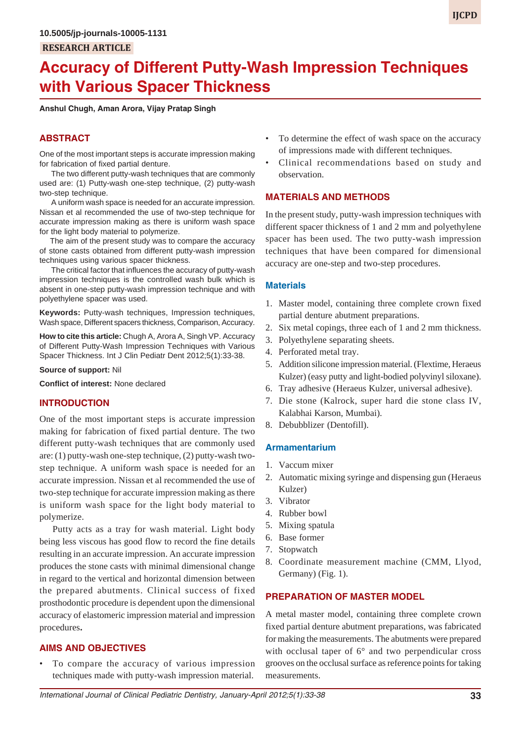# **Accuracy of Different Putty-Wash Impression Techniques with Various Spacer Thickness**

**Anshul Chugh, Aman Arora, Vijay Pratap Singh**

# **ABSTRACT**

One of the most important steps is accurate impression making for fabrication of fixed partial denture.

The two different putty-wash techniques that are commonly used are: (1) Putty-wash one-step technique, (2) putty-wash two-step technique.

A uniform wash space is needed for an accurate impression. Nissan et al recommended the use of two-step technique for accurate impression making as there is uniform wash space for the light body material to polymerize.

The aim of the present study was to compare the accuracy of stone casts obtained from different putty-wash impression techniques using various spacer thickness.

The critical factor that influences the accuracy of putty-wash impression techniques is the controlled wash bulk which is absent in one-step putty-wash impression technique and with polyethylene spacer was used.

**Keywords:** Putty-wash techniques, Impression techniques, Wash space, Different spacers thickness, Comparison, Accuracy.

**How to cite this article:** Chugh A, Arora A, Singh VP. Accuracy of Different Putty-Wash Impression Techniques with Various Spacer Thickness. Int J Clin Pediatr Dent 2012;5(1):33-38.

**Source of support:** Nil

**Conflict of interest:** None declared

# **INTRODUCTION**

One of the most important steps is accurate impression making for fabrication of fixed partial denture. The two different putty-wash techniques that are commonly used are: (1) putty-wash one-step technique, (2) putty-wash twostep technique. A uniform wash space is needed for an accurate impression. Nissan et al recommended the use of two-step technique for accurate impression making as there is uniform wash space for the light body material to polymerize.

Putty acts as a tray for wash material. Light body being less viscous has good flow to record the fine details resulting in an accurate impression. An accurate impression produces the stone casts with minimal dimensional change in regard to the vertical and horizontal dimension between the prepared abutments. Clinical success of fixed prosthodontic procedure is dependent upon the dimensional accuracy of elastomeric impression material and impression procedures**.**

# **AIMS AND OBJECTIVES**

• To compare the accuracy of various impression techniques made with putty-wash impression material.

- To determine the effect of wash space on the accuracy of impressions made with different techniques.
- Clinical recommendations based on study and observation.

# **MATERIALS AND METHODS**

In the present study, putty-wash impression techniques with different spacer thickness of 1 and 2 mm and polyethylene spacer has been used. The two putty-wash impression techniques that have been compared for dimensional accuracy are one-step and two-step procedures.

#### **Materials**

- 1. Master model, containing three complete crown fixed partial denture abutment preparations.
- 2. Six metal copings, three each of 1 and 2 mm thickness.
- 3. Polyethylene separating sheets.
- 4. Perforated metal tray.
- 5. Addition silicone impression material. (Flextime, Heraeus Kulzer) (easy putty and light-bodied polyvinyl siloxane).
- 6. Tray adhesive (Heraeus Kulzer, universal adhesive).
- 7. Die stone (Kalrock, super hard die stone class IV, Kalabhai Karson, Mumbai).
- 8. Debubblizer (Dentofill).

# **Armamentarium**

- 1. Vaccum mixer
- 2. Automatic mixing syringe and dispensing gun (Heraeus Kulzer)
- 3. Vibrator
- 4. Rubber bowl
- 5. Mixing spatula
- 6. Base former
- 7. Stopwatch
- 8. Coordinate measurement machine (CMM, Llyod, Germany) (Fig. 1).

# **PREPARATION OF MASTER MODEL**

A metal master model, containing three complete crown fixed partial denture abutment preparations, was fabricated for making the measurements. The abutments were prepared with occlusal taper of 6° and two perpendicular cross grooves on the occlusal surface as reference points for taking measurements.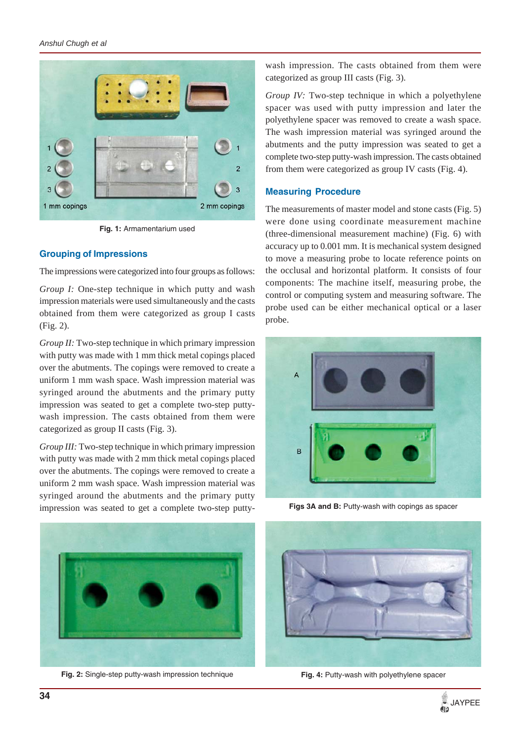

**Fig. 1:** Armamentarium used

# **Grouping of Impressions**

The impressions were categorized into four groups as follows:

*Group I:* One-step technique in which putty and wash impression materials were used simultaneously and the casts obtained from them were categorized as group I casts (Fig. 2).

*Group II:* Two-step technique in which primary impression with putty was made with 1 mm thick metal copings placed over the abutments. The copings were removed to create a uniform 1 mm wash space. Wash impression material was syringed around the abutments and the primary putty impression was seated to get a complete two-step puttywash impression. The casts obtained from them were categorized as group II casts (Fig. 3).

*Group III:* Two-step technique in which primary impression with putty was made with 2 mm thick metal copings placed over the abutments. The copings were removed to create a uniform 2 mm wash space. Wash impression material was syringed around the abutments and the primary putty impression was seated to get a complete two-step putty-



**Fig. 2:** Single-step putty-wash impression technique

wash impression. The casts obtained from them were categorized as group III casts (Fig. 3).

*Group IV:* Two-step technique in which a polyethylene spacer was used with putty impression and later the polyethylene spacer was removed to create a wash space. The wash impression material was syringed around the abutments and the putty impression was seated to get a complete two-step putty-wash impression. The casts obtained from them were categorized as group IV casts (Fig. 4).

### **Measuring Procedure**

The measurements of master model and stone casts (Fig. 5) were done using coordinate measurement machine (three-dimensional measurement machine) (Fig. 6) with accuracy up to 0.001 mm. It is mechanical system designed to move a measuring probe to locate reference points on the occlusal and horizontal platform. It consists of four components: The machine itself, measuring probe, the control or computing system and measuring software. The probe used can be either mechanical optical or a laser probe.



**Figs 3A and B:** Putty-wash with copings as spacer



**Fig. 4:** Putty-wash with polyethylene spacer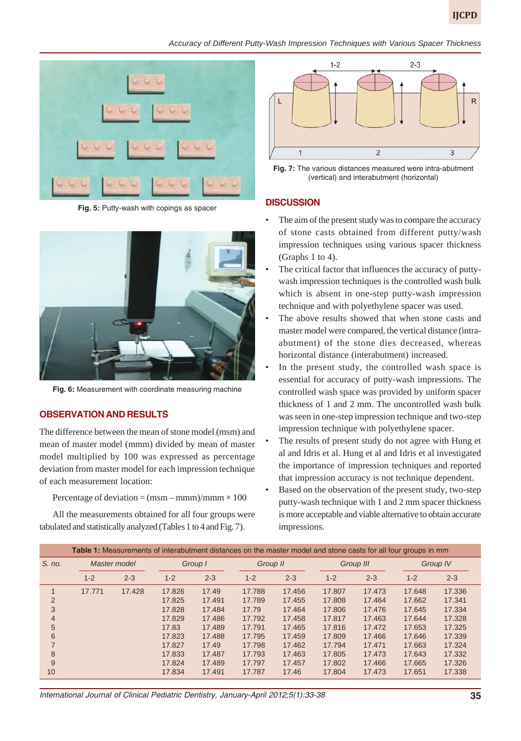#### *Accuracy of Different Putty-Wash Impression Techniques with Various Spacer Thickness*



**Fig. 5:** Putty-wash with copings as spacer



**Fig. 6:** Measurement with coordinate measuring machine

# **OBSERVATION AND RESULTS**

The difference between the mean of stone model (msm) and mean of master model (mmm) divided by mean of master model multiplied by 100 was expressed as percentage deviation from master model for each impression technique of each measurement location:

Percentage of deviation =  $(msm - mmm)/mmm \times 100$ 

All the measurements obtained for all four groups were tabulated and statistically analyzed (Tables 1 to 4 and Fig. 7).



**Fig. 7:** The various distances measured were intra-abutment (vertical) and interabutment (horizontal)

#### **DISCUSSION**

- The aim of the present study was to compare the accuracy of stone casts obtained from different putty/wash impression techniques using various spacer thickness (Graphs 1 to 4).
- The critical factor that influences the accuracy of puttywash impression techniques is the controlled wash bulk which is absent in one-step putty-wash impression technique and with polyethylene spacer was used.
- The above results showed that when stone casts and master model were compared, the vertical distance (intraabutment) of the stone dies decreased, whereas horizontal distance (interabutment) increased.
- In the present study, the controlled wash space is essential for accuracy of putty-wash impressions. The controlled wash space was provided by uniform spacer thickness of 1 and 2 mm. The uncontrolled wash bulk was seen in one-step impression technique and two-step impression technique with polyethylene spacer.
- The results of present study do not agree with Hung et al and Idris et al. Hung et al and Idris et al investigated the importance of impression techniques and reported that impression accuracy is not technique dependent.
- Based on the observation of the present study, two-step putty-wash technique with 1 and 2 mm spacer thickness is more acceptable and viable alternative to obtain accurate impressions.

| Table 1: Measurements of interabutment distances on the master model and stone casts for all four groups in mm |              |         |         |         |          |         |         |           |          |         |  |  |
|----------------------------------------------------------------------------------------------------------------|--------------|---------|---------|---------|----------|---------|---------|-----------|----------|---------|--|--|
| S. no.                                                                                                         | Master model |         | Group I |         | Group II |         |         | Group III | Group IV |         |  |  |
|                                                                                                                | $1 - 2$      | $2 - 3$ | $1 - 2$ | $2 - 3$ | $1 - 2$  | $2 - 3$ | $1 - 2$ | $2 - 3$   | $1 - 2$  | $2 - 3$ |  |  |
|                                                                                                                | 17.771       | 17.428  | 17.826  | 17.49   | 17.788   | 17.456  | 17.807  | 17.473    | 17.648   | 17.336  |  |  |
| $\overline{2}$                                                                                                 |              |         | 17.825  | 17.491  | 17.789   | 17.455  | 17.808  | 17.464    | 17.662   | 17.341  |  |  |
| 3                                                                                                              |              |         | 17.828  | 17.484  | 17.79    | 17.464  | 17,806  | 17.476    | 17.645   | 17.334  |  |  |
| $\overline{4}$                                                                                                 |              |         | 17.829  | 17.486  | 17.792   | 17.458  | 17.817  | 17.463    | 17.644   | 17.328  |  |  |
| 5                                                                                                              |              |         | 17.83   | 17.489  | 17.791   | 17.465  | 17,816  | 17.472    | 17.653   | 17.325  |  |  |
| 6                                                                                                              |              |         | 17.823  | 17.488  | 17.795   | 17.459  | 17.809  | 17.466    | 17.646   | 17.339  |  |  |
| $\overline{7}$                                                                                                 |              |         | 17.827  | 17.49   | 17.798   | 17.462  | 17.794  | 17.471    | 17.663   | 17.324  |  |  |
| 8                                                                                                              |              |         | 17.833  | 17.487  | 17.793   | 17.463  | 17.805  | 17.473    | 17.643   | 17.332  |  |  |
| 9                                                                                                              |              |         | 17.824  | 17.489  | 17.797   | 17.457  | 17.802  | 17.466    | 17.665   | 17.326  |  |  |
| 10                                                                                                             |              |         | 17.834  | 17.491  | 17.787   | 17.46   | 17.804  | 17.473    | 17.651   | 17.338  |  |  |

*International Journal of Clinical Pediatric Dentistry, January-April 2012;5(1):33-38* **35**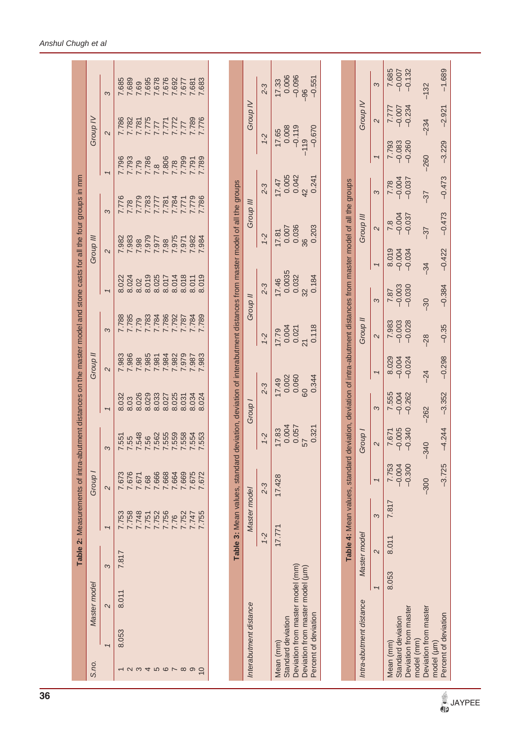|                                                                                                                     |                         | $\infty$                 | 7.685<br>7.689<br>7.6995<br>7.678<br>7.6892<br>7.681<br>7.683<br>7.683                |  |                                                                                     |                                                                   | $2 - 3$ | 0.006<br>$-0.096$<br>$-0.551$<br>17.33                               |                                                                                                                     |                         | S                 | 7.685<br>-0.007<br>-0.132                                                                                                             | $-132$   | $-1.689$ |
|---------------------------------------------------------------------------------------------------------------------|-------------------------|--------------------------|---------------------------------------------------------------------------------------|--|-------------------------------------------------------------------------------------|-------------------------------------------------------------------|---------|----------------------------------------------------------------------|---------------------------------------------------------------------------------------------------------------------|-------------------------|-------------------|---------------------------------------------------------------------------------------------------------------------------------------|----------|----------|
| Table 2: Measurements of intra-abutment distances on the master model and stone casts for all the four groups in mm | Group IV                | $\mathbf{\Omega}$        | 92117<br>1221777777782277<br>1221777777782<br>12217777777                             |  |                                                                                     | Group IV                                                          | $1 - 2$ | 0.008                                                                |                                                                                                                     | Group IV                | $\mathbf{\Omega}$ | $-0.007$<br>$-0.234$<br>7.777                                                                                                         | $-234$   | $-2.921$ |
|                                                                                                                     |                         |                          | 881772<br>1982 - 1982 - 1983<br>1983 - 1984 - 1984<br>1984 - 1985 - 1985              |  |                                                                                     |                                                                   |         | $-0.670$<br>$-0.119$<br>17.65<br>$-119$                              |                                                                                                                     |                         | $\overline{ }$    | 7793<br>083<br>0260                                                                                                                   | $-260$   | $-3.229$ |
|                                                                                                                     | Group III               | $\overline{ }$           | 99217<br>19212777777782777<br>19277777777782777<br>19277777777778                     |  |                                                                                     | $2 - 3$<br>Group III<br>$1 - 2$<br>$2 - 3$<br>Group II<br>$1 - 2$ |         | $17.47$<br>0.005<br>0.042<br>0.241<br>42                             |                                                                                                                     |                         | 3                 | 7.78<br>-0.004<br>87.04                                                                                                               | $-37$    | $-0.473$ |
|                                                                                                                     |                         | ო                        |                                                                                       |  | deviation, deviation of interabutment distances from master model of all the groups |                                                                   |         | 0.036<br>0.203<br>17.81<br>0.007<br>36                               |                                                                                                                     | Group III               | $\mathbf{\Omega}$ | $\begin{array}{r} 7.8 \\ -0.004 \\ -0.037 \end{array}$                                                                                | $-37$    | $-0.473$ |
|                                                                                                                     |                         | $\mathbf{\Omega}$        | 7.979<br>679.7<br>7.975<br>7.982<br>7.982<br>7.984<br>7.982<br>7.983<br>7.98<br>7.98  |  |                                                                                     |                                                                   |         |                                                                      |                                                                                                                     | $\overline{ }$          | 8.019<br>$-0.004$ | $-34$                                                                                                                                 | $-0.422$ |          |
|                                                                                                                     |                         | ſ                        | 8.019<br>8.025<br>8.017<br>8.014<br>8.018<br>8.019<br>8.024<br>8.011<br>8.022         |  |                                                                                     |                                                                   |         | 17.46<br>0.0035<br>0.032<br>0.184<br>32 <sub>2</sub>                 |                                                                                                                     |                         | S                 | $787$<br>$-0.003$<br>$-0.030$                                                                                                         | $-30$    | $-0.384$ |
|                                                                                                                     | Group II                | $\infty$                 |                                                                                       |  |                                                                                     |                                                                   |         | 0.118<br>0.004<br>0.021<br>17.79<br>$\overline{21}$                  |                                                                                                                     | Group II                | $\mathbf{z}$      | $7.983$<br>$-0.003$<br>$-0.028$                                                                                                       | $-28$    | $-0.35$  |
|                                                                                                                     |                         | $\mathbf{\Omega}$        | 7.985<br>0.986<br>0.985<br>7.7.7.7.7<br>7.984<br>7.982<br>7.979<br>7.987<br>7.983     |  |                                                                                     | Group I                                                           |         | 17.49<br>0.002<br>0.060<br>0.344                                     |                                                                                                                     |                         | $\overline{ }$    | 8024<br>8004<br>8004                                                                                                                  | $-24$    | $-0.298$ |
|                                                                                                                     |                         | $\overline{\phantom{0}}$ | 8.026<br>8.029<br>8.025<br>8.033<br>8.027<br>8.031<br>8.034<br>8.024<br>8.032<br>8.03 |  |                                                                                     |                                                                   | $2 - 3$ | 60                                                                   |                                                                                                                     |                         | 3                 | $7.555$<br>$-0.004$<br>$-0.262$                                                                                                       | $-262$   | $-3.352$ |
|                                                                                                                     | Group I<br>Master model | S                        | 7.562<br>7.555<br>7.558<br>7.554<br>7.7.553<br>7.551<br>7.55<br>7.548<br>7.56         |  |                                                                                     |                                                                   | $1 - 2$ | 0.004<br>0.057<br>0.321<br>17.83<br>57                               | Table 4: Mean values, standard deviation, deviation of intra-abutment distances from master model of all the groups | Group I                 | $\mathbf{\Omega}$ | $-0.005$<br>$-0.340$<br>7.671                                                                                                         | $-340$   | $-4.244$ |
|                                                                                                                     |                         | $\mathbf{\Omega}$        | 7.676<br>7.666<br>7.669<br>7.668<br>7.664<br>7.675<br>7.673<br>7.672<br>7.671<br>7.68 |  | Table 3: Mean values, standard                                                      | Master model                                                      | $2 - 3$ | 17.428<br>17.771                                                     |                                                                                                                     |                         | $\overline{ }$    | 7.753<br>$-0.004$<br>$-0.300$                                                                                                         | $-300$   | $-3.725$ |
|                                                                                                                     |                         | $\overline{ }$           | 7.748<br>7.756<br>7.755<br>7.758<br>7.752<br>7.752<br>7.747<br>7.753<br>7.751<br>7.76 |  |                                                                                     |                                                                   |         |                                                                      |                                                                                                                     |                         | S                 | 7.817                                                                                                                                 |          |          |
|                                                                                                                     |                         |                          | 7.817                                                                                 |  |                                                                                     |                                                                   | $1 - 2$ |                                                                      |                                                                                                                     | Master model            | $\mathbf{\Omega}$ | 8.011                                                                                                                                 |          |          |
|                                                                                                                     |                         | S                        | 8.011                                                                                 |  |                                                                                     |                                                                   |         |                                                                      |                                                                                                                     |                         | $\overline{ }$    | 8.053                                                                                                                                 |          |          |
|                                                                                                                     |                         | $\mathbf{\Omega}$        | 8.053                                                                                 |  |                                                                                     | Interabutment distance                                            |         | Deviation from master model (mm)<br>Deviation from master model (µm) |                                                                                                                     |                         |                   |                                                                                                                                       |          |          |
|                                                                                                                     | S.no.                   | T                        | $\sim$ $\infty$<br>456<br>$\sim \infty$<br>ၜ<br>$\overline{10}$                       |  |                                                                                     |                                                                   |         | Percent of deviation<br>Standard deviation<br>Mean (mm)              |                                                                                                                     | Intra-abutment distance |                   | Deviation from master<br>Deviation from master<br>Percent of deviation<br>Standard deviation<br>model (mm)<br>Mean (mm)<br>model (µm) |          |          |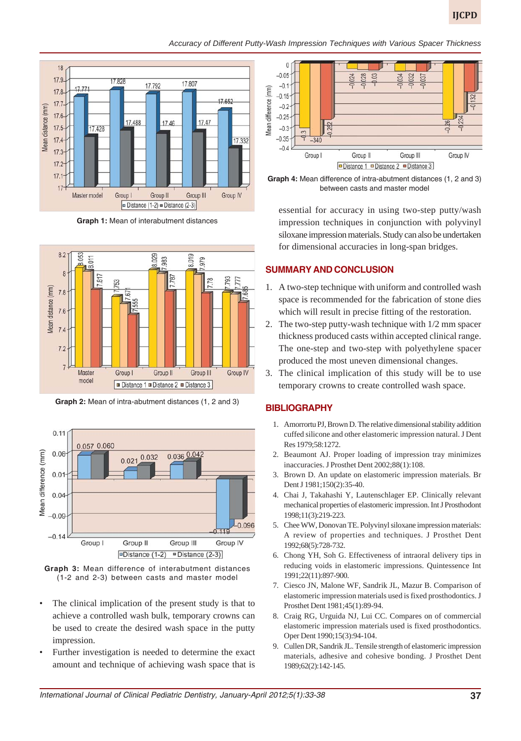*Accuracy of Different Putty-Wash Impression Techniques with Various Spacer Thickness*



**Graph 1:** Mean of interabutment distances



**Graph 2:** Mean of intra-abutment distances (1, 2 and 3)





- The clinical implication of the present study is that to achieve a controlled wash bulk, temporary crowns can be used to create the desired wash space in the putty impression.
- Further investigation is needed to determine the exact amount and technique of achieving wash space that is



**Graph 4:** Mean difference of intra-abutment distances (1, 2 and 3) between casts and master model

essential for accuracy in using two-step putty/wash impression techniques in conjunction with polyvinyl siloxane impression materials. Study can also be undertaken for dimensional accuracies in long-span bridges.

# **SUMMARY AND CONCLUSION**

- 1. A two-step technique with uniform and controlled wash space is recommended for the fabrication of stone dies which will result in precise fitting of the restoration.
- 2. The two-step putty-wash technique with 1/2 mm spacer thickness produced casts within accepted clinical range. The one-step and two-step with polyethylene spacer produced the most uneven dimensional changes.
- 3. The clinical implication of this study will be to use temporary crowns to create controlled wash space.

# **BIBLIOGRAPHY**

- 1. Amorrortu PJ, Brown D. The relative dimensional stability addition cuffed silicone and other elastomeric impression natural. J Dent Res 1979;58:1272.
- 2. Beaumont AJ. Proper loading of impression tray minimizes inaccuracies. J Prosthet Dent 2002;88(1):108.
- 3. Brown D. An update on elastomeric impression materials. Br Dent J 1981;150(2):35-40.
- 4. Chai J, Takahashi Y, Lautenschlager EP. Clinically relevant mechanical properties of elastomeric impression. Int J Prosthodont 1998;11(3):219-223.
- 5. Chee WW, Donovan TE. Polyvinyl siloxane impression materials: A review of properties and techniques. J Prosthet Dent 1992;68(5):728-732.
- 6. Chong YH, Soh G. Effectiveness of intraoral delivery tips in reducing voids in elastomeric impressions. Quintessence Int 1991;22(11):897-900.
- 7. Ciesco JN, Malone WF, Sandrik JL, Mazur B. Comparison of elastomeric impression materials used is fixed prosthodontics. J Prosthet Dent 1981;45(1):89-94.
- 8. Craig RG, Urguida NJ, Lui CC. Compares on of commercial elastomeric impression materials used is fixed prosthodontics. Oper Dent 1990;15(3):94-104.
- 9. Cullen DR, Sandrik JL. Tensile strength of elastomeric impression materials, adhesive and cohesive bonding. J Prosthet Dent 1989;62(2):142-145.